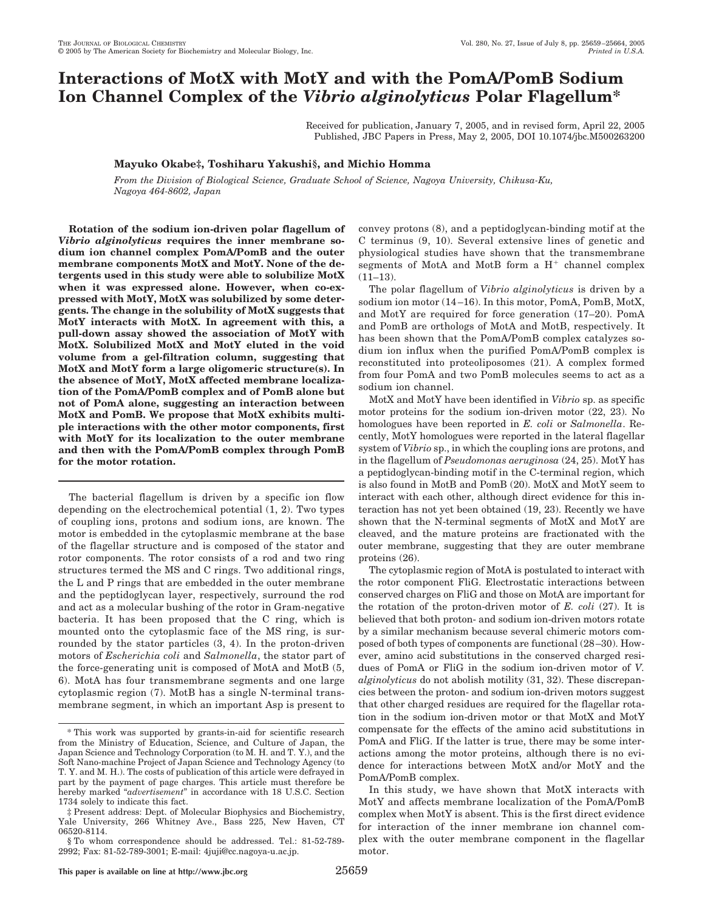# **Interactions of MotX with MotY and with the PomA/PomB Sodium Ion Channel Complex of the** *Vibrio alginolyticus* **Polar Flagellum\***

Received for publication, January 7, 2005, and in revised form, April 22, 2005 Published, JBC Papers in Press, May 2, 2005, DOI 10.1074/jbc.M500263200

## **Mayuko Okabe‡, Toshiharu Yakushi§, and Michio Homma**

*From the Division of Biological Science, Graduate School of Science, Nagoya University, Chikusa-Ku, Nagoya 464-8602, Japan*

**Rotation of the sodium ion-driven polar flagellum of** *Vibrio alginolyticus* **requires the inner membrane sodium ion channel complex PomA/PomB and the outer membrane components MotX and MotY. None of the detergents used in this study were able to solubilize MotX when it was expressed alone. However, when co-expressed with MotY, MotX was solubilized by some detergents. The change in the solubility of MotX suggests that MotY interacts with MotX. In agreement with this, a pull-down assay showed the association of MotY with MotX. Solubilized MotX and MotY eluted in the void volume from a gel-filtration column, suggesting that MotX and MotY form a large oligomeric structure(s). In the absence of MotY, MotX affected membrane localization of the PomA/PomB complex and of PomB alone but not of PomA alone, suggesting an interaction between MotX and PomB. We propose that MotX exhibits multiple interactions with the other motor components, first with MotY for its localization to the outer membrane and then with the PomA/PomB complex through PomB for the motor rotation.**

The bacterial flagellum is driven by a specific ion flow depending on the electrochemical potential (1, 2). Two types of coupling ions, protons and sodium ions, are known. The motor is embedded in the cytoplasmic membrane at the base of the flagellar structure and is composed of the stator and rotor components. The rotor consists of a rod and two ring structures termed the MS and C rings. Two additional rings, the L and P rings that are embedded in the outer membrane and the peptidoglycan layer, respectively, surround the rod and act as a molecular bushing of the rotor in Gram-negative bacteria. It has been proposed that the C ring, which is mounted onto the cytoplasmic face of the MS ring, is surrounded by the stator particles (3, 4). In the proton-driven motors of *Escherichia coli* and *Salmonella*, the stator part of the force-generating unit is composed of MotA and MotB (5, 6). MotA has four transmembrane segments and one large cytoplasmic region (7). MotB has a single N-terminal transmembrane segment, in which an important Asp is present to convey protons (8), and a peptidoglycan-binding motif at the C terminus (9, 10). Several extensive lines of genetic and physiological studies have shown that the transmembrane segments of MotA and MotB form a  $H^+$  channel complex  $(11-13)$ .

The polar flagellum of *Vibrio alginolyticus* is driven by a sodium ion motor (14–16). In this motor, PomA, PomB, MotX, and MotY are required for force generation (17–20). PomA and PomB are orthologs of MotA and MotB, respectively. It has been shown that the PomA/PomB complex catalyzes sodium ion influx when the purified PomA/PomB complex is reconstituted into proteoliposomes (21). A complex formed from four PomA and two PomB molecules seems to act as a sodium ion channel.

MotX and MotY have been identified in *Vibrio* sp. as specific motor proteins for the sodium ion-driven motor (22, 23). No homologues have been reported in *E. coli* or *Salmonella*. Recently, MotY homologues were reported in the lateral flagellar system of *Vibrio* sp., in which the coupling ions are protons, and in the flagellum of *Pseudomonas aeruginosa* (24, 25). MotY has a peptidoglycan-binding motif in the C-terminal region, which is also found in MotB and PomB (20). MotX and MotY seem to interact with each other, although direct evidence for this interaction has not yet been obtained (19, 23). Recently we have shown that the N-terminal segments of MotX and MotY are cleaved, and the mature proteins are fractionated with the outer membrane, suggesting that they are outer membrane proteins (26).

The cytoplasmic region of MotA is postulated to interact with the rotor component FliG. Electrostatic interactions between conserved charges on FliG and those on MotA are important for the rotation of the proton-driven motor of *E. coli* (27). It is believed that both proton- and sodium ion-driven motors rotate by a similar mechanism because several chimeric motors composed of both types of components are functional (28–30). However, amino acid substitutions in the conserved charged residues of PomA or FliG in the sodium ion-driven motor of *V. alginolyticus* do not abolish motility (31, 32). These discrepancies between the proton- and sodium ion-driven motors suggest that other charged residues are required for the flagellar rotation in the sodium ion-driven motor or that MotX and MotY compensate for the effects of the amino acid substitutions in PomA and FliG. If the latter is true, there may be some interactions among the motor proteins, although there is no evidence for interactions between MotX and/or MotY and the PomA/PomB complex.

In this study, we have shown that MotX interacts with MotY and affects membrane localization of the PomA/PomB complex when MotY is absent. This is the first direct evidence for interaction of the inner membrane ion channel complex with the outer membrane component in the flagellar motor.

<sup>\*</sup> This work was supported by grants-in-aid for scientific research from the Ministry of Education, Science, and Culture of Japan, the Japan Science and Technology Corporation (to M. H. and T. Y.), and the Soft Nano-machine Project of Japan Science and Technology Agency (to T. Y. and M. H.). The costs of publication of this article were defrayed in part by the payment of page charges. This article must therefore be hereby marked "*advertisement*" in accordance with 18 U.S.C. Section 1734 solely to indicate this fact.

<sup>‡</sup> Present address: Dept. of Molecular Biophysics and Biochemistry, Yale University, 266 Whitney Ave., Bass 225, New Haven, CT 06520-8114.

<sup>§</sup> To whom correspondence should be addressed. Tel.: 81-52-789- 2992; Fax: 81-52-789-3001; E-mail: 4juji@cc.nagoya-u.ac.jp.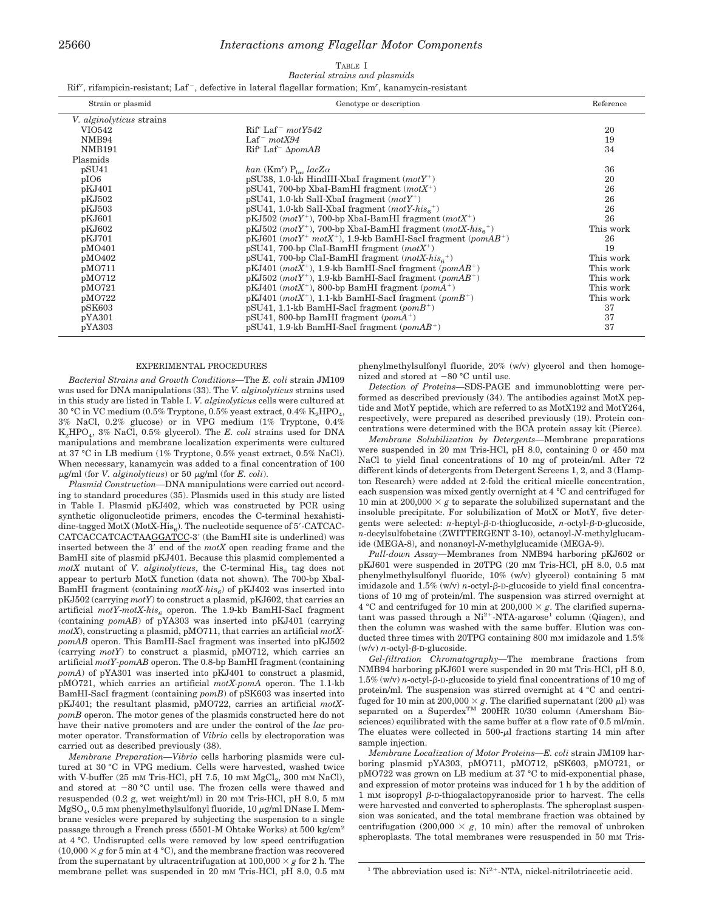### 25660 *Interactions among Flagellar Motor Components*

## TABLE I *Bacterial strains and plasmids*

Rif', rifampicin-resistant; Laf<sup>-</sup>, defective in lateral flagellar formation; Km', kanamycin-resistant

| Strain or plasmid               | Genotype or description                                                                            | Reference |
|---------------------------------|----------------------------------------------------------------------------------------------------|-----------|
| <i>V. alginolyticus</i> strains |                                                                                                    |           |
| VIO542                          | $\mathrm{Rif}^{\mathrm{r}}$ Laf <sup>-</sup> motY542                                               | 20        |
| NMB94                           | Laf <sup>-</sup> $motX94$                                                                          | 19        |
| <b>NMB191</b>                   | $Rif' Laf' \Delta pomAB$                                                                           | 34        |
| Plasmids                        |                                                                                                    |           |
| pSU <sub>41</sub>               | kan (Km <sup>r</sup> ) $P_{\text{loc}}$ lacZ $\alpha$                                              | 36        |
| pIO6                            | pSU38, 1.0-kb HindIII-XbaI fragment $(motY^+)$                                                     | 20        |
| pKJ401                          | $pSU41$ , 700-bp XbaI-BamHI fragment $(motX^+)$                                                    | 26        |
| pKJ502                          | $pSU41$ , 1.0-kb Sall-XbaI fragment $(motY^+)$                                                     | 26        |
| pKJ503                          | $pSU41$ , 1.0-kb Sall-Xbal fragment ( <i>motY-his</i> <sup>+</sup> )                               | 26        |
| pKJ601                          | $pKJ502$ ( <i>motY</i> <sup>+</sup> ), 700-bp XbaI-BamHI fragment ( <i>motX</i> <sup>+</sup> )     | 26        |
| pKJ602                          | $pKJ502$ ( <i>motY</i> <sup>+</sup> ), 700-bp XbaI-BamHI fragment ( <i>motX-his</i> <sup>+</sup> ) | This work |
| pKJ701                          | $pKJ601$ (motY <sup>+</sup> motX <sup>+</sup> ), 1.9-kb BamHI-SacI fragment (pomAB <sup>+</sup> )  | 26        |
| pMO401                          | $pSU41$ , 700-bp ClaI-BamHI fragment $(motX^+)$                                                    | 19        |
| pMO402                          | pSU41, 700-bp ClaI-BamHI fragment $(motX-his_{\epsilon}^+)$                                        | This work |
| pMO711                          | $pKJ401$ ( <i>motX</i> <sup>+</sup> ), 1.9-kb BamHI-SacI fragment ( <i>pomAB</i> <sup>+</sup> )    | This work |
| pMO712                          | $pKJ502$ ( <i>motY</i> <sup>+</sup> ), 1.9-kb BamHI-SacI fragment ( <i>pomAB</i> <sup>+</sup> )    | This work |
| pMO721                          | $pKJ401$ ( <i>motX</i> <sup>+</sup> ), 800-bp BamHI fragment ( <i>pomA</i> <sup>+</sup> )          | This work |
| pMO722                          | $pKJ401$ ( <i>motX</i> <sup>+</sup> ), 1.1-kb BamHI-SacI fragment ( <i>pomB</i> <sup>+</sup> )     | This work |
| $p$ SK603                       | $pSU41$ , 1.1-kb BamHI-SacI fragment ( $pomB^+$ )                                                  | 37        |
| pYA301                          | $pSU41$ , 800-bp BamHI fragment (pomA <sup>+</sup> )                                               | 37        |
| pYA303                          | $pSU41$ , 1.9-kb BamHI-SacI fragment (pomAB <sup>+</sup> )                                         | 37        |

#### EXPERIMENTAL PROCEDURES

*Bacterial Strains and Growth Conditions—*The *E. coli* strain JM109 was used for DNA manipulations (33). The *V. alginolyticus* strains used in this study are listed in Table I. *V. alginolyticus* cells were cultured at 30 °C in VC medium (0.5% Tryptone, 0.5% yeast extract, 0.4%  $K_2HPO<sub>4</sub>$ , 3% NaCl, 0.2% glucose) or in VPG medium (1% Tryptone, 0.4% K2HPO4, 3% NaCl, 0.5% glycerol). The *E. coli* strains used for DNA manipulations and membrane localization experiments were cultured at 37 °C in LB medium (1% Tryptone, 0.5% yeast extract, 0.5% NaCl). When necessary, kanamycin was added to a final concentration of 100  $\mu$ g/ml (for *V. alginolyticus*) or 50  $\mu$ g/ml (for *E. coli*).

*Plasmid Construction—*DNA manipulations were carried out according to standard procedures (35). Plasmids used in this study are listed in Table I. Plasmid pKJ402, which was constructed by PCR using synthetic oligonucleotide primers, encodes the C-terminal hexahistidine-tagged MotX (MotX-His $_6$ ). The nucleotide sequence of 5'-CATCAC-CATCACCATCACTAAGGATCC-3' (the BamHI site is underlined) was inserted between the 3' end of the *motX* open reading frame and the BamHI site of plasmid pKJ401. Because this plasmid complemented a  $motX$  mutant of *V. alginolyticus*, the C-terminal  $His<sub>6</sub>$  tag does not appear to perturb MotX function (data not shown). The 700-bp XbaI-BamHI fragment (containing  $motX-his<sub>6</sub>$ ) of pKJ402 was inserted into pKJ502 (carrying *motY*) to construct a plasmid, pKJ602, that carries an artificial *motY*-*motX-his6* operon. The 1.9-kb BamHI-SacI fragment (containing *pomAB*) of pYA303 was inserted into pKJ401 (carrying *motX*), constructing a plasmid, pMO711, that carries an artificial *motXpomAB* operon. This BamHI-SacI fragment was inserted into pKJ502 (carrying *motY*) to construct a plasmid, pMO712, which carries an artificial *motY-pomAB* operon. The 0.8-bp BamHI fragment (containing *pomA*) of pYA301 was inserted into pKJ401 to construct a plasmid, pMO721, which carries an artificial *motX-pomA* operon. The 1.1-kb BamHI-SacI fragment (containing *pomB*) of pSK603 was inserted into pKJ401; the resultant plasmid, pMO722, carries an artificial *motXpomB* operon. The motor genes of the plasmids constructed here do not have their native promoters and are under the control of the *lac* promoter operator. Transformation of *Vibrio* cells by electroporation was carried out as described previously (38).

*Membrane Preparation—Vibrio* cells harboring plasmids were cultured at 30 °C in VPG medium. Cells were harvested, washed twice with V-buffer  $(25 \text{ mm Tris-HCl, pH } 7.5, 10 \text{ mm } \text{MgCl}_2, 300 \text{ mm NaCl})$ , and stored at  $-80$  °C until use. The frozen cells were thawed and resuspended (0.2 g, wet weight/ml) in 20 mM Tris-HCl, pH 8.0, 5 mM  $MgSO<sub>4</sub>, 0.5$  mM phenylmethylsulfonyl fluoride, 10  $\mu$ g/ml DNase I. Membrane vesicles were prepared by subjecting the suspension to a single passage through a French press (5501-M Ohtake Works) at 500 kg/cm2 at 4 °C. Undisrupted cells were removed by low speed centrifugation  $(10,000 \times g$  for 5 min at 4 °C), and the membrane fraction was recovered from the supernatant by ultracentrifugation at  $100,000 \times g$  for 2 h. The membrane pellet was suspended in 20 mm Tris-HCl, pH 8.0, 0.5 mm phenylmethylsulfonyl fluoride, 20% (w/v) glycerol and then homogenized and stored at  $-80$  °C until use.

*Detection of Proteins—*SDS-PAGE and immunoblotting were performed as described previously (34). The antibodies against MotX peptide and MotY peptide, which are referred to as MotX192 and MotY264, respectively, were prepared as described previously (19). Protein concentrations were determined with the BCA protein assay kit (Pierce).

*Membrane Solubilization by Detergents—*Membrane preparations were suspended in 20 mM Tris-HCl, pH 8.0, containing 0 or 450 mM NaCl to yield final concentrations of 10 mg of protein/ml. After 72 different kinds of detergents from Detergent Screens 1, 2, and 3 (Hampton Research) were added at 2-fold the critical micelle concentration, each suspension was mixed gently overnight at 4 °C and centrifuged for 10 min at 200,000  $\times g$  to separate the solubilized supernatant and the insoluble precipitate. For solubilization of MotX or MotY, five detergents were selected: *n*-heptyl-β-D-thioglucoside, *n*-octyl-β-D-glucoside, *n*-decylsulfobetaine (ZWITTERGENT 3-10), octanoyl-*N*-methylglucamide (MEGA-8), and nonanoyl-*N*-methylglucamide (MEGA-9).

*Pull-down Assay—*Membranes from NMB94 harboring pKJ602 or pKJ601 were suspended in 20TPG (20 mM Tris-HCl, pH 8.0, 0.5 mM phenylmethylsulfonyl fluoride, 10% (w/v) glycerol) containing 5 mM imidazole and  $1.5\%$  (w/v) *n*-octyl- $\beta$ -D-glucoside to yield final concentrations of 10 mg of protein/ml. The suspension was stirred overnight at 4 °C and centrifuged for 10 min at 200,000  $\times$  g. The clarified supernatant was passed through a  $Ni^{2+}$ -NTA-agarose<sup>1</sup> column (Qiagen), and then the column was washed with the same buffer. Elution was conducted three times with 20TPG containing 800 mM imidazole and 1.5%  $(w/v)$  *n*-octyl- $\beta$ -D-glucoside.

*Gel-filtration Chromatography—*The membrane fractions from NMB94 harboring pKJ601 were suspended in 20 mM Tris-HCl, pH 8.0,  $1.5\%$  (w/v) *n*-octyl- $\beta$ -D-glucoside to yield final concentrations of 10 mg of protein/ml. The suspension was stirred overnight at 4 °C and centrifuged for 10 min at  $200,000 \times g$ . The clarified supernatant (200  $\mu$ l) was separated on a Superdex<sup>TM</sup> 200HR 10/30 column (Amersham Biosciences) equilibrated with the same buffer at a flow rate of 0.5 ml/min. The eluates were collected in  $500-\mu l$  fractions starting 14 min after sample injection.

*Membrane Localization of Motor Proteins—E. coli* strain JM109 harboring plasmid pYA303, pMO711, pMO712, pSK603, pMO721, or pMO722 was grown on LB medium at 37 °C to mid-exponential phase, and expression of motor proteins was induced for 1 h by the addition of  $1 \text{ mm}$  isopropyl  $\beta$ -D-thiogalactopyranoside prior to harvest. The cells were harvested and converted to spheroplasts. The spheroplast suspension was sonicated, and the total membrane fraction was obtained by centrifugation (200,000  $\times g$ , 10 min) after the removal of unbroken spheroplasts. The total membranes were resuspended in 50 mm Tris-

<sup>&</sup>lt;sup>1</sup> The abbreviation used is:  $Ni<sup>2+</sup> - NTA$ , nickel-nitrilotriacetic acid.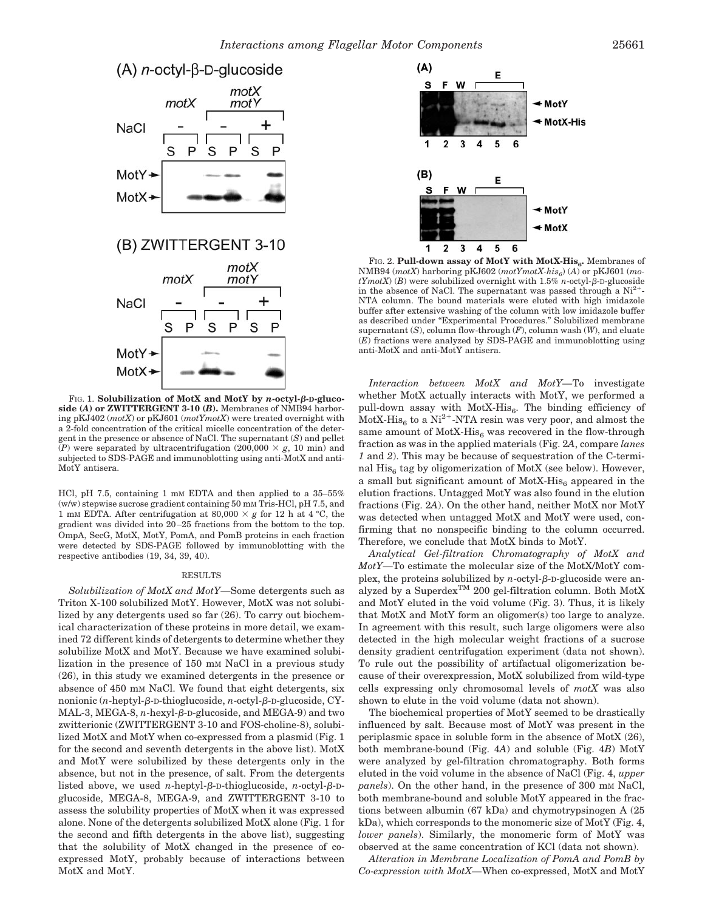

FIG. 1. **Solubilization of MotX and MotY by** *n***-octyl--D-glucoside (***A***) or ZWITTERGENT 3-10 (***B***).** Membranes of NMB94 harboring pKJ402 (*motX*) or pKJ601 (*motYmotX*) were treated overnight with a 2-fold concentration of the critical micelle concentration of the detergent in the presence or absence of NaCl. The supernatant (*S*) and pellet  $\overline{P}(P)$  were separated by ultracentrifugation (200,000  $\times g$ , 10 min) and subjected to SDS-PAGE and immunoblotting using anti-MotX and anti-MotY antisera.

HCl, pH 7.5, containing 1 mm EDTA and then applied to a 35-55%  $(w/w)$  stepwise sucrose gradient containing 50 mm Tris-HCl, pH 7.5, and 1 mm EDTA. After centrifugation at 80,000  $\times g$  for 12 h at 4 °C, the gradient was divided into 20–25 fractions from the bottom to the top. OmpA, SecG, MotX, MotY, PomA, and PomB proteins in each fraction were detected by SDS-PAGE followed by immunoblotting with the respective antibodies (19, 34, 39, 40).

#### RESULTS

*Solubilization of MotX and MotY—*Some detergents such as Triton X-100 solubilized MotY. However, MotX was not solubilized by any detergents used so far (26). To carry out biochemical characterization of these proteins in more detail, we examined 72 different kinds of detergents to determine whether they solubilize MotX and MotY. Because we have examined solubilization in the presence of 150 mm NaCl in a previous study (26), in this study we examined detergents in the presence or absence of 450 mM NaCl. We found that eight detergents, six nonionic (*n*-heptyl-β-D-thioglucoside, *n*-octyl-β-D-glucoside, CY- $\text{MAL-3}, \text{MEGA-8}, n\text{-hexyl-}\beta\text{-p-glucoside}, \text{and }\text{MEGA-9}) \text{ and two}$ zwitterionic (ZWITTERGENT 3-10 and FOS-choline-8), solubilized MotX and MotY when co-expressed from a plasmid (Fig. 1 for the second and seventh detergents in the above list). MotX and MotY were solubilized by these detergents only in the absence, but not in the presence, of salt. From the detergents listed above, we used *n*-heptyl- $\beta$ -D-thioglucoside, *n*-octyl- $\beta$ -Dglucoside, MEGA-8, MEGA-9, and ZWITTERGENT 3-10 to assess the solubility properties of MotX when it was expressed alone. None of the detergents solubilized MotX alone (Fig. 1 for the second and fifth detergents in the above list), suggesting that the solubility of MotX changed in the presence of coexpressed MotY, probably because of interactions between MotX and MotY.



FIG. 2. Pull-down assay of MotY with MotX-His<sub>6</sub>. Membranes of NMB94 ( $motX$ ) harboring pKJ602 ( $motYmotX\text{-}his_6$ ) (A) or pKJ601 ( $mo\text{-}$  $tYmotX$  (*B*) were solubilized overnight with  $1.5\%$  *n*-octyl- $\beta$ -D-glucoside in the absence of NaCl. The supernatant was passed through a  $Ni^{2+}$ -NTA column. The bound materials were eluted with high imidazole buffer after extensive washing of the column with low imidazole buffer as described under "Experimental Procedures." Solubilized membrane supernatant (*S*), column flow-through (*F*), column wash (*W*), and eluate (*E*) fractions were analyzed by SDS-PAGE and immunoblotting using anti-MotX and anti-MotY antisera.

*Interaction between MotX and MotY—*To investigate whether MotX actually interacts with MotY, we performed a pull-down assay with  $MotX-His_6$ . The binding efficiency of  $MotX-His<sub>6</sub>$  to a Ni<sup>2+</sup>-NTA resin was very poor, and almost the same amount of  $MotX-His<sub>6</sub>$  was recovered in the flow-through fraction as was in the applied materials (Fig. 2*A*, compare *lanes 1* and *2*). This may be because of sequestration of the C-terminal  $His<sub>6</sub>$  tag by oligomerization of MotX (see below). However, a small but significant amount of  $MotX-His<sub>6</sub>$  appeared in the elution fractions. Untagged MotY was also found in the elution fractions (Fig. 2*A*). On the other hand, neither MotX nor MotY was detected when untagged MotX and MotY were used, confirming that no nonspecific binding to the column occurred. Therefore, we conclude that MotX binds to MotY.

*Analytical Gel-filtration Chromatography of MotX and MotY—*To estimate the molecular size of the MotX/MotY complex, the proteins solubilized by *n*-octyl- $\beta$ -D-glucoside were analyzed by a Superdex<sup>TM</sup> 200 gel-filtration column. Both MotX and MotY eluted in the void volume (Fig. 3). Thus, it is likely that MotX and MotY form an oligomer(s) too large to analyze. In agreement with this result, such large oligomers were also detected in the high molecular weight fractions of a sucrose density gradient centrifugation experiment (data not shown). To rule out the possibility of artifactual oligomerization because of their overexpression, MotX solubilized from wild-type cells expressing only chromosomal levels of *motX* was also shown to elute in the void volume (data not shown).

The biochemical properties of MotY seemed to be drastically influenced by salt. Because most of MotY was present in the periplasmic space in soluble form in the absence of MotX (26), both membrane-bound (Fig. 4*A*) and soluble (Fig. 4*B*) MotY were analyzed by gel-filtration chromatography. Both forms eluted in the void volume in the absence of NaCl (Fig. 4, *upper panels*). On the other hand, in the presence of 300 mm NaCl, both membrane-bound and soluble MotY appeared in the fractions between albumin (67 kDa) and chymotrypsinogen A (25 kDa), which corresponds to the monomeric size of MotY (Fig. 4, *lower panels*). Similarly, the monomeric form of MotY was observed at the same concentration of KCl (data not shown).

*Alteration in Membrane Localization of PomA and PomB by Co-expression with MotX—*When co-expressed, MotX and MotY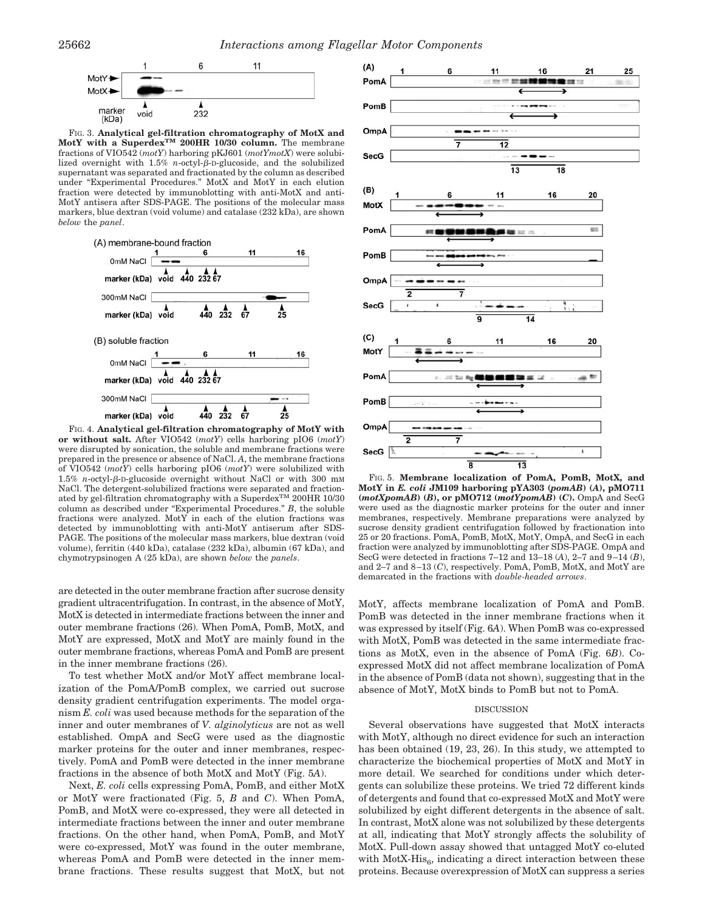

FIG. 3. **Analytical gel-filtration chromatography of MotX and MotY with a SuperdexTM 200HR 10/30 column.** The membrane fractions of VIO542 (*motY*) harboring pKJ601 (*motYmotX*) were solubilized overnight with  $1.5\%$  *n*-octyl- $\beta$ -D-glucoside, and the solubilized supernatant was separated and fractionated by the column as described under "Experimental Procedures." MotX and MotY in each elution fraction were detected by immunoblotting with anti-MotX and anti-MotY antisera after SDS-PAGE. The positions of the molecular mass markers, blue dextran (void volume) and catalase (232 kDa), are shown *below* the *panel*.



FIG. 4. **Analytical gel-filtration chromatography of MotY with or without salt.** After VIO542 (*motY*) cells harboring pIO6 (*motY*) were disrupted by sonication, the soluble and membrane fractions were prepared in the presence or absence of NaCl. *A*, the membrane fractions of VIO542 (*motY*) cells harboring pIO6 (*motY*) were solubilized with  $1.5\%$  *n*-octyl- $\beta$ -D-glucoside overnight without NaCl or with 300 mm NaCl. The detergent-solubilized fractions were separated and fractionated by gel-filtration chromatography with a  $\rm{Superdex}^{TM}$  200HR 10/30 column as described under "Experimental Procedures." *B*, the soluble fractions were analyzed. Mot $\overline{Y}$  in each of the elution fractions was detected by immunoblotting with anti-MotY antiserum after SDS-PAGE. The positions of the molecular mass markers, blue dextran (void volume), ferritin (440 kDa), catalase (232 kDa), albumin (67 kDa), and chymotrypsinogen A (25 kDa), are shown *below* the *panels*.

are detected in the outer membrane fraction after sucrose density gradient ultracentrifugation. In contrast, in the absence of MotY, MotX is detected in intermediate fractions between the inner and outer membrane fractions (26). When PomA, PomB, MotX, and MotY are expressed, MotX and MotY are mainly found in the outer membrane fractions, whereas PomA and PomB are present in the inner membrane fractions (26).

To test whether MotX and/or MotY affect membrane localization of the PomA/PomB complex, we carried out sucrose density gradient centrifugation experiments. The model organism *E. coli* was used because methods for the separation of the inner and outer membranes of *V. alginolyticus* are not as well established. OmpA and SecG were used as the diagnostic marker proteins for the outer and inner membranes, respectively. PomA and PomB were detected in the inner membrane fractions in the absence of both MotX and MotY (Fig. 5*A*).

Next, *E. coli* cells expressing PomA, PomB, and either MotX or MotY were fractionated (Fig. 5, *B* and *C*). When PomA, PomB, and MotX were co-expressed, they were all detected in intermediate fractions between the inner and outer membrane fractions. On the other hand, when PomA, PomB, and MotY were co-expressed, MotY was found in the outer membrane, whereas PomA and PomB were detected in the inner membrane fractions. These results suggest that MotX, but not



FIG. 5. **Membrane localization of PomA, PomB, MotX, and MotY in** *E. coli* **JM109 harboring pYA303 (***pomAB***) (***A***), pMO711 (***motXpomAB***) (***B***), or pMO712 (***motYpomAB***) (***C***).** OmpA and SecG were used as the diagnostic marker proteins for the outer and inner membranes, respectively. Membrane preparations were analyzed by sucrose density gradient centrifugation followed by fractionation into 25 or 20 fractions. PomA, PomB, MotX, MotY, OmpA, and SecG in each fraction were analyzed by immunoblotting after SDS-PAGE. OmpA and SecG were detected in fractions 7–12 and 13–18 (*A*), 2–7 and 9–14 (*B*), and 2–7 and 8–13 (*C*), respectively. PomA, PomB, MotX, and MotY are demarcated in the fractions with *double-headed arrows*.

MotY, affects membrane localization of PomA and PomB. PomB was detected in the inner membrane fractions when it was expressed by itself (Fig. 6*A*). When PomB was co-expressed with MotX, PomB was detected in the same intermediate fractions as MotX, even in the absence of PomA (Fig. 6*B*). Coexpressed MotX did not affect membrane localization of PomA in the absence of PomB (data not shown), suggesting that in the absence of MotY, MotX binds to PomB but not to PomA.

#### DISCUSSION

Several observations have suggested that MotX interacts with MotY, although no direct evidence for such an interaction has been obtained (19, 23, 26). In this study, we attempted to characterize the biochemical properties of MotX and MotY in more detail. We searched for conditions under which detergents can solubilize these proteins. We tried 72 different kinds of detergents and found that co-expressed MotX and MotY were solubilized by eight different detergents in the absence of salt. In contrast, MotX alone was not solubilized by these detergents at all, indicating that MotY strongly affects the solubility of MotX. Pull-down assay showed that untagged MotY co-eluted with  $MotX-His<sub>6</sub>$ , indicating a direct interaction between these proteins. Because overexpression of MotX can suppress a series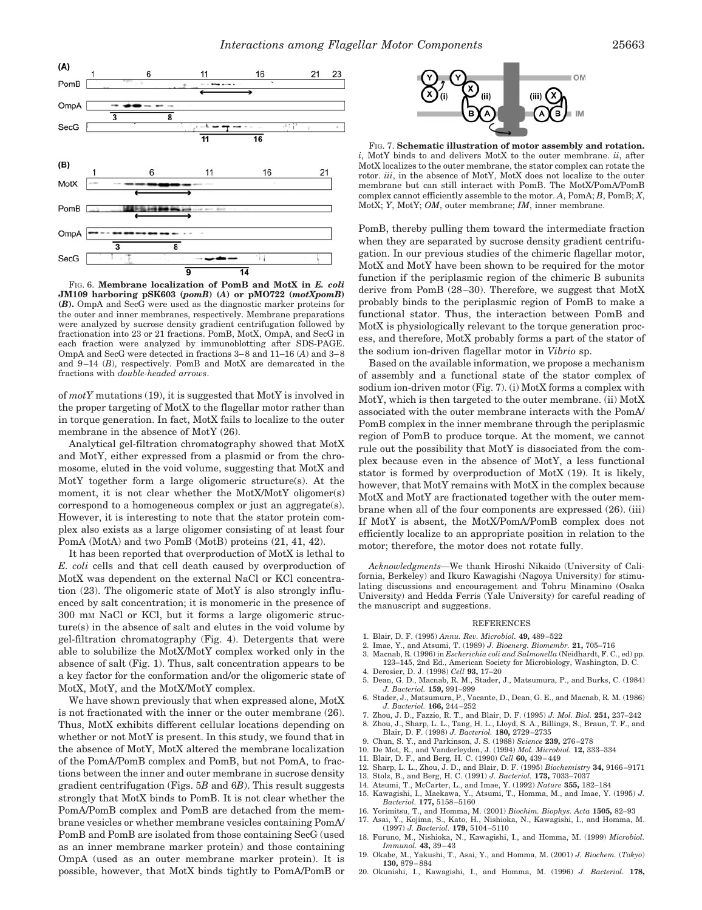

FIG. 6. **Membrane localization of PomB and MotX in** *E. coli* **JM109 harboring pSK603 (***pomB***) (***A***) or pMO722 (***motXpomB***) (***B***).** OmpA and SecG were used as the diagnostic marker proteins for the outer and inner membranes, respectively. Membrane preparations were analyzed by sucrose density gradient centrifugation followed by fractionation into 23 or 21 fractions. PomB, MotX, OmpA, and SecG in each fraction were analyzed by immunoblotting after SDS-PAGE. OmpA and SecG were detected in fractions 3–8 and 11–16 (*A*) and 3–8 and 9–14 (*B*), respectively. PomB and MotX are demarcated in the fractions with *double-headed arrows*.

of *motY* mutations (19), it is suggested that MotY is involved in the proper targeting of MotX to the flagellar motor rather than in torque generation. In fact, MotX fails to localize to the outer membrane in the absence of MotY (26).

Analytical gel-filtration chromatography showed that MotX and MotY, either expressed from a plasmid or from the chromosome, eluted in the void volume, suggesting that MotX and MotY together form a large oligomeric structure(s). At the moment, it is not clear whether the MotX/MotY oligomer(s) correspond to a homogeneous complex or just an aggregate(s). However, it is interesting to note that the stator protein complex also exists as a large oligomer consisting of at least four PomA (MotA) and two PomB (MotB) proteins (21, 41, 42).

It has been reported that overproduction of MotX is lethal to *E. coli* cells and that cell death caused by overproduction of MotX was dependent on the external NaCl or KCl concentration (23). The oligomeric state of MotY is also strongly influenced by salt concentration; it is monomeric in the presence of 300 mM NaCl or KCl, but it forms a large oligomeric structure(s) in the absence of salt and elutes in the void volume by gel-filtration chromatography (Fig. 4). Detergents that were able to solubilize the MotX/MotY complex worked only in the absence of salt (Fig. 1). Thus, salt concentration appears to be a key factor for the conformation and/or the oligomeric state of MotX, MotY, and the MotX/MotY complex.

We have shown previously that when expressed alone, MotX is not fractionated with the inner or the outer membrane (26). Thus, MotX exhibits different cellular locations depending on whether or not MotY is present. In this study, we found that in the absence of MotY, MotX altered the membrane localization of the PomA/PomB complex and PomB, but not PomA, to fractions between the inner and outer membrane in sucrose density gradient centrifugation (Figs. 5*B* and 6*B*). This result suggests strongly that MotX binds to PomB. It is not clear whether the PomA/PomB complex and PomB are detached from the membrane vesicles or whether membrane vesicles containing PomA/ PomB and PomB are isolated from those containing SecG (used as an inner membrane marker protein) and those containing OmpA (used as an outer membrane marker protein). It is possible, however, that MotX binds tightly to PomA/PomB or



FIG. 7. **Schematic illustration of motor assembly and rotation.** *i*, MotY binds to and delivers MotX to the outer membrane. *ii*, after MotX localizes to the outer membrane, the stator complex can rotate the rotor. *iii*, in the absence of MotY, MotX does not localize to the outer membrane but can still interact with PomB. The MotX/PomA/PomB complex cannot efficiently assemble to the motor. *A*, PomA; *B*, PomB; *X*, MotX; *Y*, MotY; *OM*, outer membrane; *IM*, inner membrane.

PomB, thereby pulling them toward the intermediate fraction when they are separated by sucrose density gradient centrifugation. In our previous studies of the chimeric flagellar motor, MotX and MotY have been shown to be required for the motor function if the periplasmic region of the chimeric B subunits derive from PomB (28–30). Therefore, we suggest that MotX probably binds to the periplasmic region of PomB to make a functional stator. Thus, the interaction between PomB and MotX is physiologically relevant to the torque generation process, and therefore, MotX probably forms a part of the stator of the sodium ion-driven flagellar motor in *Vibrio* sp.

Based on the available information, we propose a mechanism of assembly and a functional state of the stator complex of sodium ion-driven motor (Fig. 7). (i) MotX forms a complex with MotY, which is then targeted to the outer membrane. (ii) MotX associated with the outer membrane interacts with the PomA/ PomB complex in the inner membrane through the periplasmic region of PomB to produce torque. At the moment, we cannot rule out the possibility that MotY is dissociated from the complex because even in the absence of MotY, a less functional stator is formed by overproduction of MotX (19). It is likely, however, that MotY remains with MotX in the complex because MotX and MotY are fractionated together with the outer membrane when all of the four components are expressed (26). (iii) If MotY is absent, the MotX/PomA/PomB complex does not efficiently localize to an appropriate position in relation to the motor; therefore, the motor does not rotate fully.

*Acknowledgments—*We thank Hiroshi Nikaido (University of California, Berkeley) and Ikuro Kawagishi (Nagoya University) for stimulating discussions and encouragement and Tohru Minamino (Osaka University) and Hedda Ferris (Yale University) for careful reading of the manuscript and suggestions.

#### REFERENCES

- 1. Blair, D. F. (1995) *Annu. Rev. Microbiol.* **49,** 489–522
- 2. Imae, Y., and Atsumi, T. (1989) *J. Bioenerg. Biomembr.* **21,** 705–716
- 3. Macnab, R. (1996) in *Escherichia coli and Salmonella* (Neidhardt, F. C., ed) pp.
- 123–145, 2nd Ed., American Society for Microbiology, Washington, D. C. 4. Derosier, D. J. (1998) *Cell* **93,** 17–20
- 5. Dean, G. D., Macnab, R. M., Stader, J., Matsumura, P., and Burks, C. (1984) *J. Bacteriol.* **159,** 991–999
- 6. Stader, J., Matsumura, P., Vacante, D., Dean, G. E., and Macnab, R. M. (1986) *J. Bacteriol.* **166,** 244–252
- 7. Zhou, J. D., Fazzio, R. T., and Blair, D. F. (1995) *J. Mol. Biol.* **251,** 237–242
- 8. Zhou, J., Sharp, L. L., Tang, H. L., Lloyd, S. A., Billings, S., Braun, T. F., and Blair, D. F. (1998) *J. Bacteriol.* **180,** 2729–2735
- 9. Chun, S. Y., and Parkinson, J. S. (1988) *Science* **239,** 276–278
- 10. De Mot, R., and Vanderleyden, J. (1994) *Mol. Microbiol.* **12,** 333–334
- 11. Blair, D. F., and Berg, H. C. (1990) *Cell* **60,** 439–449
- 12. Sharp, L. L., Zhou, J. D., and Blair, D. F. (1995) *Biochemistry* **34,** 9166–9171
- 13. Stolz, B., and Berg, H. C. (1991) *J. Bacteriol.* **173,** 7033–7037
- 14. Atsumi, T., McCarter, L., and Imae, Y. (1992) *Nature* **355,** 182–184
- 15. Kawagishi, I., Maekawa, Y., Atsumi, T., Homma, M., and Imae, Y. (1995) *J. Bacteriol.* **177,** 5158–5160
- 16. Yorimitsu, T., and Homma, M. (2001) *Biochim. Biophys. Acta* **1505,** 82–93
- 17. Asai, Y., Kojima, S., Kato, H., Nishioka, N., Kawagishi, I., and Homma, M. (1997) *J. Bacteriol.* **179,** 5104–5110
- 18. Furuno, M., Nishioka, N., Kawagishi, I., and Homma, M. (1999) *Microbiol. Immunol.* **43,** 39–43
- 19. Okabe, M., Yakushi, T., Asai, Y., and Homma, M. (2001) *J. Biochem.* (*Tokyo*) **130,** 879–884
- 20. Okunishi, I., Kawagishi, I., and Homma, M. (1996) *J. Bacteriol.* **178,**